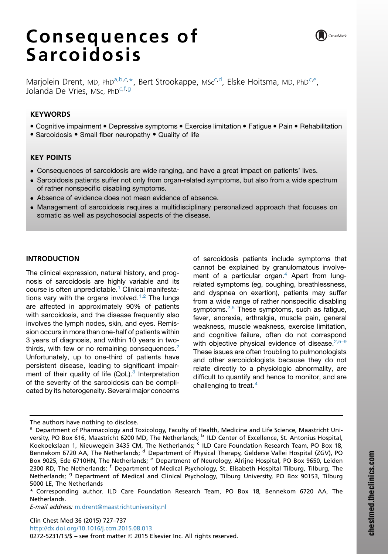# Consequences of Sarcoidosis



Marjolein Drent, MD, PhD<sup>a,b,c,\*</sup>, Bert Strookappe, MSc<sup>c,d</sup>, Elske Hoitsma, MD, PhD<sup>c,e</sup>, Jolanda De Vries, MSc, PhD<sup>c,f,g</sup>

# KEYWORDS

- Cognitive impairment Depressive symptoms Exercise limitation Fatigue Pain Rehabilitation
- Sarcoidosis Small fiber neuropathy Quality of life

# KEY POINTS

- Consequences of sarcoidosis are wide ranging, and have a great impact on patients' lives.
- Sarcoidosis patients suffer not only from organ-related symptoms, but also from a wide spectrum of rather nonspecific disabling symptoms.
- Absence of evidence does not mean evidence of absence.
- Management of sarcoidosis requires a multidisciplinary personalized approach that focuses on somatic as well as psychosocial aspects of the disease.

# INTRODUCTION

The clinical expression, natural history, and prognosis of sarcoidosis are highly variable and its course is often unpredictable.<sup>[1](#page-8-0)</sup> Clinical manifesta-tions vary with the organs involved.<sup>[1,2](#page-8-0)</sup> The lungs are affected in approximately 90% of patients with sarcoidosis, and the disease frequently also involves the lymph nodes, skin, and eyes. Remission occurs in more than one-half of patients within 3 years of diagnosis, and within 10 years in twothirds, with few or no remaining consequences. $2$ Unfortunately, up to one-third of patients have persistent disease, leading to significant impairment of their quality of life  $(QoL)<sup>3</sup>$  $(QoL)<sup>3</sup>$  $(QoL)<sup>3</sup>$  Interpretation of the severity of the sarcoidosis can be complicated by its heterogeneity. Several major concerns of sarcoidosis patients include symptoms that cannot be explained by granulomatous involve-ment of a particular organ.<sup>[4](#page-8-0)</sup> Apart from lungrelated symptoms (eg, coughing, breathlessness, and dyspnea on exertion), patients may suffer from a wide range of rather nonspecific disabling symptoms. $2,5$  These symptoms, such as fatigue, fever, anorexia, arthralgia, muscle pain, general weakness, muscle weakness, exercise limitation, and cognitive failure, often do not correspond with objective physical evidence of disease. $2,5-9$ These issues are often troubling to pulmonologists and other sarcoidologists because they do not relate directly to a physiologic abnormality, are difficult to quantify and hence to monitor, and are challenging to treat.<sup>[4](#page-8-0)</sup>

E-mail address: [m.drent@maastrichtuniversity.nl](mailto:m.drent@maastrichtuniversity.nl)

The authors have nothing to disclose.

a Department of Pharmacology and Toxicology, Faculty of Health, Medicine and Life Science, Maastricht University, PO Box 616, Maastricht 6200 MD, The Netherlands; <sup>b</sup> ILD Center of Excellence, St. Antonius Hospital, Koekoekslaan 1, Nieuwegein 3435 CM, The Netherlands; <sup>c</sup> ILD Care Foundation Research Team, PO Box 18, Bennekom 6720 AA, The Netherlands; <sup>d</sup> Department of Physical Therapy, Gelderse Vallei Hospital (ZGV), PO Box 9025, Ede 6710HN, The Netherlands; <sup>e</sup> Department of Neurology, Alrijne Hospital, PO Box 9650, Leiden 2300 RD, The Netherlands; <sup>f</sup> Department of Medical Psychology, St. Elisabeth Hospital Tilburg, Tilburg, The Netherlands; <sup>g</sup> Department of Medical and Clinical Psychology, Tilburg University, PO Box 90153, Tilburg 5000 LE, The Netherlands

<sup>\*</sup> Corresponding author. ILD Care Foundation Research Team, PO Box 18, Bennekom 6720 AA, The Netherlands.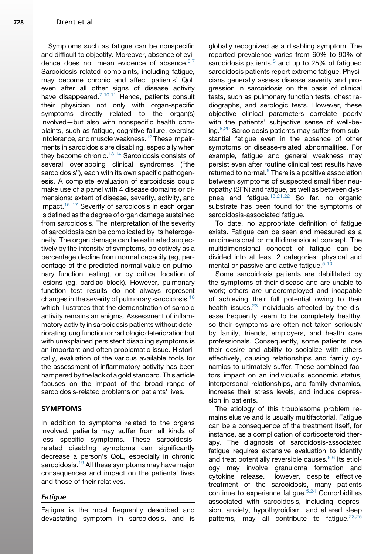728 Drent et al

Symptoms such as fatigue can be nonspecific and difficult to objectify. Moreover, absence of evi-dence does not mean evidence of absence.<sup>[5,7](#page-8-0)</sup> Sarcoidosis-related complaints, including fatigue, may become chronic and affect patients' QoL even after all other signs of disease activity have disappeared.<sup>7,10,11</sup> Hence, patients consult their physician not only with organ-specific symptoms—directly related to the organ(s) involved—but also with nonspecific health complaints, such as fatigue, cognitive failure, exercise intolerance, and muscle weakness.<sup>12</sup> These impairments in sarcoidosis are disabling, especially when they become chronic. $13,14$  Sarcoidosis consists of several overlapping clinical syndromes ("the sarcoidosis"), each with its own specific pathogenesis. A complete evaluation of sarcoidosis could make use of a panel with 4 disease domains or dimensions: extent of disease, severity, activity, and impact.<sup>15–17</sup> Severity of sarcoidosis in each organ is defined as the degree of organ damage sustained from sarcoidosis. The interpretation of the severity of sarcoidosis can be complicated by its heterogeneity. The organ damage can be estimated subjectively by the intensity of symptoms, objectively as a percentage decline from normal capacity (eg, percentage of the predicted normal value on pulmonary function testing), or by critical location of lesions (eg, cardiac block). However, pulmonary function test results do not always represent changes in the severity of pulmonary sarcoidosis,  $18$ which illustrates that the demonstration of sarcoid activity remains an enigma. Assessment of inflammatory activity in sarcoidosis patients without deteriorating lung function or radiologic deterioration but with unexplained persistent disabling symptoms is an important and often problematic issue. Historically, evaluation of the various available tools for the assessment of inflammatory activity has been hampered by the lack of a gold standard. This article focuses on the impact of the broad range of sarcoidosis-related problems on patients' lives.

# SYMPTOMS

In addition to symptoms related to the organs involved, patients may suffer from all kinds of less specific symptoms. These sarcoidosisrelated disabling symptoms can significantly decrease a person's QoL, especially in chronic sarcoidosis.<sup>[19](#page-8-0)</sup> All these symptoms may have major consequences and impact on the patients' lives and those of their relatives.

### Fatigue

Fatigue is the most frequently described and devastating symptom in sarcoidosis, and is globally recognized as a disabling symptom. The reported prevalence varies from 60% to 90% of sarcoidosis patients, $5$  and up to 25% of fatigued sarcoidosis patients report extreme fatigue. Physicians generally assess disease severity and progression in sarcoidosis on the basis of clinical tests, such as pulmonary function tests, chest radiographs, and serologic tests. However, these objective clinical parameters correlate poorly with the patients' subjective sense of well-being. $8,20$  Sarcoidosis patients may suffer from substantial fatigue even in the absence of other symptoms or disease-related abnormalities. For example, fatigue and general weakness may persist even after routine clinical test results have returned to normal.<sup>[5](#page-8-0)</sup> There is a positive association between symptoms of suspected small fiber neuropathy (SFN) and fatigue, as well as between dyspnea and fatigue. $13,21,22$  So far, no organic substrate has been found for the symptoms of sarcoidosis-associated fatigue.

To date, no appropriate definition of fatigue exists. Fatigue can be seen and measured as a unidimensional or multidimensional concept. The multidimensional concept of fatigue can be divided into at least 2 categories: physical and mental or passive and active fatigue.<sup>[5,10](#page-8-0)</sup>

Some sarcoidosis patients are debilitated by the symptoms of their disease and are unable to work; others are underemployed and incapable of achieving their full potential owing to their health issues. $23$  Individuals affected by the disease frequently seem to be completely healthy, so their symptoms are often not taken seriously by family, friends, employers, and health care professionals. Consequently, some patients lose their desire and ability to socialize with others effectively, causing relationships and family dynamics to ultimately suffer. These combined factors impact on an individual's economic status, interpersonal relationships, and family dynamics, increase their stress levels, and induce depression in patients.

The etiology of this troublesome problem remains elusive and is usually multifactorial. Fatigue can be a consequence of the treatment itself, for instance, as a complication of corticosteroid therapy. The diagnosis of sarcoidosis-associated fatigue requires extensive evaluation to identify and treat potentially reversible causes.<sup>[5,6](#page-8-0)</sup> Its etiology may involve granuloma formation and cytokine release. However, despite effective treatment of the sarcoidosis, many patients continue to experience fatigue.<sup>[5,24](#page-8-0)</sup> Comorbidities associated with sarcoidosis, including depression, anxiety, hypothyroidism, and altered sleep patterns, may all contribute to fatigue.<sup>[23,25](#page-8-0)</sup>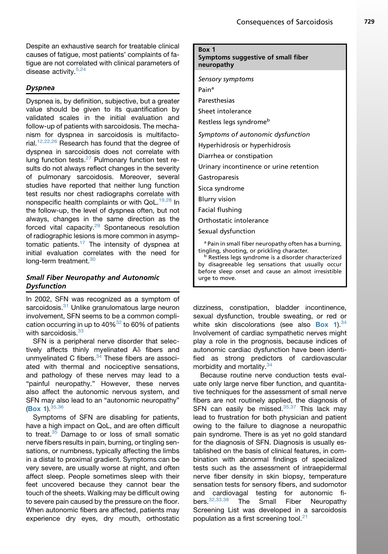Despite an exhaustive search for treatable clinical causes of fatigue, most patients' complaints of fatigue are not correlated with clinical parameters of disease activity.<sup>[5,24](#page-8-0)</sup>

## Dyspnea

Dyspnea is, by definition, subjective, but a greater value should be given to its quantification by validated scales in the initial evaluation and follow-up of patients with sarcoidosis. The mechanism for dyspnea in sarcoidosis is multifacto-rial.<sup>[12,22,26](#page-8-0)</sup> Research has found that the degree of dyspnea in sarcoidosis does not correlate with lung function tests.<sup>[27](#page-8-0)</sup> Pulmonary function test results do not always reflect changes in the severity of pulmonary sarcoidosis. Moreover, several studies have reported that neither lung function test results nor chest radiographs correlate with nonspecific health complaints or with QoL.<sup>19,28</sup> In the follow-up, the level of dyspnea often, but not always, changes in the same direction as the forced vital capacity.<sup>[29](#page-9-0)</sup> Spontaneous resolution of radiographic lesions is more common in asymp-tomatic patients.<sup>[17](#page-8-0)</sup> The intensity of dyspnea at initial evaluation correlates with the need for long-term treatment.<sup>[30](#page-9-0)</sup>

## Small Fiber Neuropathy and Autonomic Dysfunction

In 2002, SFN was recognized as a symptom of sarcoidosis.<sup>[31](#page-9-0)</sup> Unlike granulomatous large neuron involvement, SFN seems to be a common complication occurring in up to  $40\%$ <sup>[32](#page-9-0)</sup> to 60% of patients with sarcoidosis.<sup>[33](#page-9-0)</sup>

SFN is a peripheral nerve disorder that selectively affects thinly myelinated  $A\delta$  fibers and unmyelinated C fibers.<sup>[34](#page-9-0)</sup> These fibers are associated with thermal and nociceptive sensations, and pathology of these nerves may lead to a "painful neuropathy." However, these nerves also affect the autonomic nervous system, and SFN may also lead to an "autonomic neuropathy" (Box 1).[35,36](#page-9-0)

Symptoms of SFN are disabling for patients, have a high impact on QoL, and are often difficult to treat.<sup>[35](#page-9-0)</sup> Damage to or loss of small somatic nerve fibers results in pain, burning, or tingling sensations, or numbness, typically affecting the limbs in a distal to proximal gradient. Symptoms can be very severe, are usually worse at night, and often affect sleep. People sometimes sleep with their feet uncovered because they cannot bear the touch of the sheets. Walking may be difficult owing to severe pain caused by the pressure on the floor. When autonomic fibers are affected, patients may experience dry eyes, dry mouth, orthostatic

| Box 1<br>Symptoms suggestive of small fiber<br>neuropathy                                                                                                                                                                               |
|-----------------------------------------------------------------------------------------------------------------------------------------------------------------------------------------------------------------------------------------|
| Sensory symptoms                                                                                                                                                                                                                        |
| Pain <sup>a</sup>                                                                                                                                                                                                                       |
| Paresthesias                                                                                                                                                                                                                            |
| Sheet intolerance                                                                                                                                                                                                                       |
| Restless legs syndrome <sup>b</sup>                                                                                                                                                                                                     |
| Symptoms of autonomic dysfunction                                                                                                                                                                                                       |
| Hyperhidrosis or hyperhidrosis                                                                                                                                                                                                          |
| Diarrhea or constipation                                                                                                                                                                                                                |
| Urinary incontinence or urine retention                                                                                                                                                                                                 |
| Gastroparesis                                                                                                                                                                                                                           |
| Sicca syndrome                                                                                                                                                                                                                          |
| <b>Blurry vision</b>                                                                                                                                                                                                                    |
| Facial flushing                                                                                                                                                                                                                         |
| Orthostatic intolerance                                                                                                                                                                                                                 |
| Sexual dysfunction                                                                                                                                                                                                                      |
| <sup>a</sup> Pain in small fiber neuropathy often has a burning,<br>tingling, shooting, or prickling character.<br><sup>b</sup> Restless legs syndrome is a disorder characterized<br>by disagreeable leg sensations that usually occur |

disagreeable leg sensations that usually occur before sleep onset and cause an almost irresistible urge to move.

dizziness, constipation, bladder incontinence, sexual dysfunction, trouble sweating, or red or white skin discolorations (see also **Box 1**).  $34$ Involvement of cardiac sympathetic nerves might play a role in the prognosis, because indices of autonomic cardiac dysfunction have been identified as strong predictors of cardiovascular morbidity and mortality.[34](#page-9-0)

Because routine nerve conduction tests evaluate only large nerve fiber function, and quantitative techniques for the assessment of small nerve fibers are not routinely applied, the diagnosis of SFN can easily be missed. $35,37$  This lack may lead to frustration for both physician and patient owing to the failure to diagnose a neuropathic pain syndrome. There is as yet no gold standard for the diagnosis of SFN. Diagnosis is usually established on the basis of clinical features, in combination with abnormal findings of specialized tests such as the assessment of intraepidermal nerve fiber density in skin biopsy, temperature sensation tests for sensory fibers, and sudomotor and cardiovagal testing for autonomic fi-<br>bers.<sup>32,33,38</sup> The Small Fiber Neuronathy The Small Fiber Neuropathy Screening List was developed in a sarcoidosis population as a first screening tool. $21$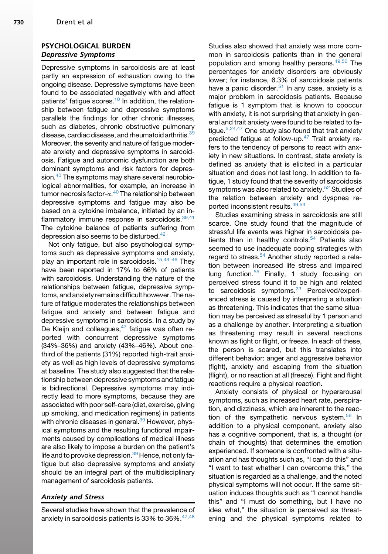# PSYCHOLOGICAL BURDEN Depressive Symptoms

Depressive symptoms in sarcoidosis are at least partly an expression of exhaustion owing to the ongoing disease. Depressive symptoms have been found to be associated negatively with and affect patients' fatique scores.<sup>10</sup> In addition, the relationship between fatigue and depressive symptoms parallels the findings for other chronic illnesses, such as diabetes, chronic obstructive pulmonary disease, cardiac disease, and rheumatoid arthritis.<sup>[39](#page-9-0)</sup> Moreover, the severity and nature of fatigue moderate anxiety and depressive symptoms in sarcoidosis. Fatigue and autonomic dysfunction are both dominant symptoms and risk factors for depression.<sup>40</sup> The symptoms may share several neurobiological abnormalities, for example, an increase in tumor necrosis factor- $\alpha^{.40}$  $\alpha^{.40}$  $\alpha^{.40}$  The relationship between depressive symptoms and fatigue may also be based on a cytokine imbalance, initiated by an in-flammatory immune response in sarcoidosis.<sup>[39,41](#page-9-0)</sup> The cytokine balance of patients suffering from depression also seems to be disturbed. $42$ 

Not only fatigue, but also psychological symptoms such as depressive symptoms and anxiety, play an important role in sarcoidosis.<sup>15,43-46</sup> They have been reported in 17% to 66% of patients with sarcoidosis. Understanding the nature of the relationships between fatigue, depressive symptoms, and anxiety remains difficult however. The nature of fatigue moderates the relationships between fatigue and anxiety and between fatigue and depressive symptoms in sarcoidosis. In a study by De Kleijn and colleagues, $47$  fatigue was often reported with concurrent depressive symptoms (34%–36%) and anxiety (43%–46%). About onethird of the patients (31%) reported high-trait anxiety as well as high levels of depressive symptoms at baseline. The study also suggested that the relationship between depressive symptoms and fatigue is bidirectional. Depressive symptoms may indirectly lead to more symptoms, because they are associated with poor self-care (diet, exercise, giving up smoking, and medication regimens) in patients with chronic diseases in general.<sup>39</sup> However, physical symptoms and the resulting functional impairments caused by complications of medical illness are also likely to impose a burden on the patient's life and to provoke depression.<sup>[39](#page-9-0)</sup> Hence, not only fatigue but also depressive symptoms and anxiety should be an integral part of the multidisciplinary management of sarcoidosis patients.

## Anxiety and Stress

Several studies have shown that the prevalence of anxiety in sarcoidosis patients is 33% to 36%.  $47,48$  Studies also showed that anxiety was more common in sarcoidosis patients than in the general population and among healthy persons.<sup>[49,50](#page-9-0)</sup> The percentages for anxiety disorders are obviously lower; for instance, 6.3% of sarcoidosis patients have a panic disorder. $51$  In any case, anxiety is a major problem in sarcoidosis patients. Because fatigue is 1 symptom that is known to cooccur with anxiety, it is not surprising that anxiety in general and trait anxiety were found to be related to fatigue.[5,24,47](#page-8-0) One study also found that trait anxiety predicted fatigue at follow-up.<sup>[47](#page-9-0)</sup> Trait anxiety refers to the tendency of persons to react with anxiety in new situations. In contrast, state anxiety is defined as anxiety that is elicited in a particular situation and does not last long. In addition to fatigue, 1 study found that the severity of sarcoidosis symptoms was also related to anxiety.<sup>[52](#page-9-0)</sup> Studies of the relation between anxiety and dyspnea re-ported inconsistent results. [49,53](#page-9-0)

Studies examining stress in sarcoidosis are still scarce. One study found that the magnitude of stressful life events was higher in sarcoidosis patients than in healthy controls. $54$  Patients also seemed to use inadequate coping strategies with regard to stress.<sup>54</sup> Another study reported a relation between increased life stress and impaired lung function. $55$  Finally, 1 study focusing on perceived stress found it to be high and related to sarcoidosis symptoms.<sup>[23](#page-8-0)</sup> Perceived/experienced stress is caused by interpreting a situation as threatening. This indicates that the same situation may be perceived as stressful by 1 person and as a challenge by another. Interpreting a situation as threatening may result in several reactions known as fight or flight, or freeze. In each of these, the person is scared, but this translates into different behavior: anger and aggressive behavior (fight), anxiety and escaping from the situation (flight), or no reaction at all (freeze). Fight and flight reactions require a physical reaction.

Anxiety consists of physical or hyperarousal symptoms, such as increased heart rate, perspiration, and dizziness, which are inherent to the reac-tion of the sympathetic nervous system.<sup>[56](#page-9-0)</sup> In addition to a physical component, anxiety also has a cognitive component, that is, a thought (or chain of thoughts) that determines the emotion experienced. If someone is confronted with a situation and has thoughts such as, "I can do this" and "I want to test whether I can overcome this," the situation is regarded as a challenge, and the noted physical symptoms will not occur. If the same situation induces thoughts such as "I cannot handle this" and "I must do something, but I have no idea what," the situation is perceived as threatening and the physical symptoms related to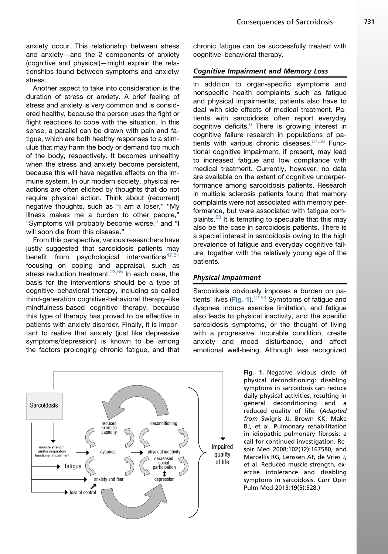<span id="page-4-0"></span>anxiety occur. This relationship between stress and anxiety—and the 2 components of anxiety (cognitive and physical)—might explain the relationships found between symptoms and anxiety/ stress.

Another aspect to take into consideration is the duration of stress or anxiety. A brief feeling of stress and anxiety is very common and is considered healthy, because the person uses the fight or flight reactions to cope with the situation. In this sense, a parallel can be drawn with pain and fatigue, which are both healthy responses to a stimulus that may harm the body or demand too much of the body, respectively. It becomes unhealthy when the stress and anxiety become persistent, because this will have negative effects on the immune system. In our modern society, physical reactions are often elicited by thoughts that do not require physical action. Think about (recurrent) negative thoughts, such as "I am a loser," "My illness makes me a burden to other people," "Symptoms will probably become worse," and "I will soon die from this disease."

From this perspective, various researchers have justly suggested that sarcoidosis patients may benefit from psychological interventions<sup>[47,51](#page-9-0)</sup> focusing on coping and appraisal, such as stress reduction treatment. $23,55$  In each case, the basis for the interventions should be a type of cognitive–behavioral therapy, including so-called third-generation cognitive-behavioral therapy–like mindfulness-based cognitive therapy, because this type of therapy has proved to be effective in patients with anxiety disorder. Finally, it is important to realize that anxiety (just like depressive symptoms/depression) is known to be among the factors prolonging chronic fatigue, and that



chronic fatigue can be successfully treated with cognitive–behavioral therapy.

#### Cognitive Impairment and Memory Loss

In addition to organ-specific symptoms and nonspecific health complaints such as fatigue and physical impairments, patients also have to deal with side effects of medical treatment. Patients with sarcoidosis often report everyday cognitive deficits. $6$  There is growing interest in cognitive failure research in populations of pa-tients with various chronic diseases.<sup>[57,58](#page-9-0)</sup> Functional cognitive impairment, if present, may lead to increased fatigue and low compliance with medical treatment. Currently, however, no data are available on the extent of cognitive underperformance among sarcoidosis patients. Research in multiple sclerosis patients found that memory complaints were not associated with memory performance, but were associated with fatigue com-plaints.<sup>[58](#page-9-0)</sup> It is tempting to speculate that this may also be the case in sarcoidosis patients. There is a special interest in sarcoidosis owing to the high prevalence of fatigue and everyday cognitive failure, together with the relatively young age of the patients.

#### Physical Impairment

Sarcoidosis obviously imposes a burden on pa-tients' lives (Fig. 1).<sup>[12,59](#page-8-0)</sup> Symptoms of fatigue and dyspnea induce exercise limitation, and fatigue also leads to physical inactivity, and the specific sarcoidosis symptoms, or the thought of living with a progressive, incurable condition, create anxiety and mood disturbance, and affect emotional well-being. Although less recognized

> Fig. 1. Negative vicious circle of physical deconditioning: disabling symptoms in sarcoidosis can reduce daily physical activities, resulting in general deconditioning and a reduced quality of life. (Adapted from Swigris JJ, Brown KK, Make BJ, et al. Pulmonary rehabilitation in idiopathic pulmonary fibrosis: a call for continued investigation. Respir Med 2008;102(12):167580, and Marcellis RG, Lenssen AF, de Vries J, et al. Reduced muscle strength, exercise intolerance and disabling symptoms in sarcoidosis. Curr Opin Pulm Med 2013;19(5):528.)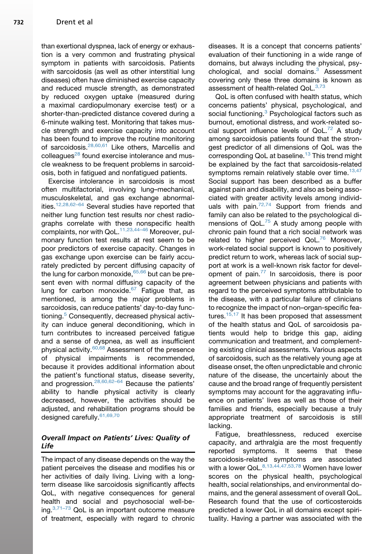than exertional dyspnea, lack of energy or exhaustion is a very common and frustrating physical symptom in patients with sarcoidosis. Patients with sarcoidosis (as well as other interstitial lung diseases) often have diminished exercise capacity and reduced muscle strength, as demonstrated by reduced oxygen uptake (measured during a maximal cardiopulmonary exercise test) or a shorter-than-predicted distance covered during a 6-minute walking test. Monitoring that takes muscle strength and exercise capacity into account has been found to improve the routine monitoring of sarcoidosis.<sup>[28,60,61](#page-9-0)</sup> Like others, Marcellis and colleagues<sup>[28](#page-9-0)</sup> found exercise intolerance and muscle weakness to be frequent problems in sarcoidosis, both in fatigued and nonfatigued patients.

Exercise intolerance in sarcoidosis is most often multifactorial, involving lung–mechanical, musculoskeletal, and gas exchange abnormalities.<sup>12,28,62-64</sup> Several studies have reported that neither lung function test results nor chest radiographs correlate with these nonspecific health complaints, nor with QoL. $11,23,44-46$  Moreover, pulmonary function test results at rest seem to be poor predictors of exercise capacity. Changes in gas exchange upon exercise can be fairly accurately predicted by percent diffusing capacity of the lung for carbon monoxide,  $65,66$  but can be present even with normal diffusing capacity of the lung for carbon monoxide. $67$  Fatigue that, as mentioned, is among the major problems in sarcoidosis, can reduce patients' day-to-day func-tioning.<sup>[5](#page-8-0)</sup> Consequently, decreased physical activity can induce general deconditioning, which in turn contributes to increased perceived fatigue and a sense of dyspnea, as well as insufficient physical activity.<sup>[60,68](#page-9-0)</sup> Assessment of the presence<br>of physical impairments is recommended. physical impairments is recommended, because it provides additional information about the patient's functional status, disease severity, and progression.  $28,60,62-64$  Because the patients' ability to handle physical activity is clearly decreased, however, the activities should be adjusted, and rehabilitation programs should be designed carefully.<sup>[61,69,70](#page-9-0)</sup>

# Overall Impact on Patients' Lives: Quality of Life

The impact of any disease depends on the way the patient perceives the disease and modifies his or her activities of daily living. Living with a longterm disease like sarcoidosis significantly affects QoL, with negative consequences for general health and social and psychosocial well-being. $3,71-73$  QoL is an important outcome measure of treatment, especially with regard to chronic

diseases. It is a concept that concerns patients' evaluation of their functioning in a wide range of domains, but always including the physical, psy-chological, and social domains.<sup>[3](#page-8-0)</sup> Assessment covering only these three domains is known as assessment of health-related QoL.<sup>3,73</sup>

QoL is often confused with health status, which concerns patients' physical, psychological, and social functioning.<sup>[3](#page-8-0)</sup> Psychological factors such as burnout, emotional distress, and work-related social support influence levels of  $QoL<sup>72</sup>$  $QoL<sup>72</sup>$  $QoL<sup>72</sup>$  A study among sarcoidosis patients found that the strongest predictor of all dimensions of QoL was the corresponding QoL at baseline.<sup>[13](#page-8-0)</sup> This trend might be explained by the fact that sarcoidosis-related symptoms remain relatively stable over time. $13,47$ Social support has been described as a buffer against pain and disability, and also as being associated with greater activity levels among individ-uals with pain.<sup>[72,74](#page-10-0)</sup> Support from friends and family can also be related to the psychological dimensions of QoL. $75$  A study among people with chronic pain found that a rich social network was related to higher perceived  $QoL^{76}$  $QoL^{76}$  $QoL^{76}$  Moreover, work-related social support is known to positively predict return to work, whereas lack of social support at work is a well-known risk factor for devel-opment of pain.<sup>[77](#page-10-0)</sup> In sarcoidosis, there is poor agreement between physicians and patients with regard to the perceived symptoms attributable to the disease, with a particular failure of clinicians to recognize the impact of non–organ-specific features. $15,17$  It has been proposed that assessment of the health status and QoL of sarcoidosis patients would help to bridge this gap, aiding communication and treatment, and complementing existing clinical assessments. Various aspects of sarcoidosis, such as the relatively young age at disease onset, the often unpredictable and chronic nature of the disease, the uncertainly about the cause and the broad range of frequently persistent symptoms may account for the aggravating influence on patients' lives as well as those of their families and friends, especially because a truly appropriate treatment of sarcoidosis is still lacking.

Fatigue, breathlessness, reduced exercise capacity, and arthralgia are the most frequently reported symptoms. It seems that these sarcoidosis-related symptoms are associated with a lower QoL.<sup>[8,13,44,47,53,78](#page-8-0)</sup> Women have lower scores on the physical health, psychological health, social relationships, and environmental domains, and the general assessment of overall QoL. Research found that the use of corticosteroids predicted a lower QoL in all domains except spirituality. Having a partner was associated with the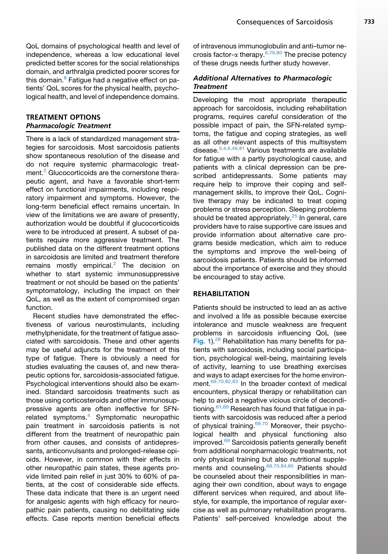QoL domains of psychological health and level of independence, whereas a low educational level predicted better scores for the social relationships domain, and arthralgia predicted poorer scores for this domain.<sup>[8](#page-8-0)</sup> Fatigue had a negative effect on patients' QoL scores for the physical health, psychological health, and level of independence domains.

# TREATMENT OPTIONS Pharmacologic Treatment

There is a lack of standardized management strategies for sarcoidosis. Most sarcoidosis patients show spontaneous resolution of the disease and do not require systemic pharmacologic treat-ment.<sup>[2](#page-8-0)</sup> Glucocorticoids are the cornerstone therapeutic agent, and have a favorable short-term effect on functional impairments, including respiratory impairment and symptoms. However, the long-term beneficial effect remains uncertain. In view of the limitations we are aware of presently, authorization would be doubtful if glucocorticoids were to be introduced at present. A subset of patients require more aggressive treatment. The published data on the different treatment options in sarcoidosis are limited and treatment therefore remains mostly empirical. $<sup>2</sup>$  $<sup>2</sup>$  $<sup>2</sup>$  The decision on</sup> whether to start systemic immunosuppressive treatment or not should be based on the patients' symptomatology, including the impact on their QoL, as well as the extent of compromised organ function.

Recent studies have demonstrated the effectiveness of various neurostimulants, including methylphenidate, for the treatment of fatigue associated with sarcoidosis. These and other agents may be useful adjuncts for the treatment of this type of fatigue. There is obviously a need for studies evaluating the causes of, and new therapeutic options for, sarcoidosis-associated fatigue. Psychological interventions should also be examined. Standard sarcoidosis treatments such as those using corticosteroids and other immunosuppressive agents are often ineffective for SFNrelated symptoms.<sup>4</sup> Symptomatic neuropathic pain treatment in sarcoidosis patients is not different from the treatment of neuropathic pain from other causes, and consists of antidepressants, anticonvulsants and prolonged-release opioids. However, in common with their effects in other neuropathic pain states, these agents provide limited pain relief in just 30% to 60% of patients, at the cost of considerable side effects. These data indicate that there is an urgent need for analgesic agents with high efficacy for neuropathic pain patients, causing no debilitating side effects. Case reports mention beneficial effects of intravenous immunoglobulin and anti–tumor necrosis factor- $\alpha$  therapy.<sup>[6,79,80](#page-8-0)</sup> The precise potency of these drugs needs further study however.

# Additional Alternatives to Pharmacologic **Treatment**

Developing the most appropriate therapeutic approach for sarcoidosis, including rehabilitation programs, requires careful consideration of the possible impact of pain, the SFN-related symptoms, the fatigue and coping strategies, as well as all other relevant aspects of this multisystem disease.[3,4,6,49,81](#page-8-0) Various treatments are available for fatigue with a partly psychological cause, and patients with a clinical depression can be prescribed antidepressants. Some patients may require help to improve their coping and selfmanagement skills, to improve their QoL. Cognitive therapy may be indicated to treat coping problems or stress perception. Sleeping problems should be treated appropriately.<sup>[25](#page-8-0)</sup> In general, care providers have to raise supportive care issues and provide information about alternative care programs beside medication, which aim to reduce the symptoms and improve the well-being of sarcoidosis patients. Patients should be informed about the importance of exercise and they should be encouraged to stay active.

## REHABILITATION

Patients should be instructed to lead an as active and involved a life as possible because exercise intolerance and muscle weakness are frequent problems in sarcoidosis influencing QoL (see [Fig. 1](#page-4-0)).<sup>[28](#page-9-0)</sup> Rehabilitation has many benefits for patients with sarcoidosis, including social participation, psychological well-being, maintaining levels of activity, learning to use breathing exercises and ways to adapt exercises for the home environ-ment.<sup>[69,70,82,83](#page-10-0)</sup> In the broader context of medical encounters, physical therapy or rehabilitation can help to avoid a negative vicious circle of deconditioning.  $61,69$  Research has found that fatigue in patients with sarcoidosis was reduced after a period of physical training. $69,70$  Moreover, their psychological health and physical functioning also improved.<sup>[69](#page-10-0)</sup> Sarcoidosis patients generally benefit from additional nonpharmacologic treatments, not only physical training but also nutritional supple-ments and counseling.<sup>[69,70,84,85](#page-10-0)</sup> Patients should be counseled about their responsibilities in managing their own condition, about ways to engage different services when required, and about lifestyle, for example, the importance of regular exercise as well as pulmonary rehabilitation programs. Patients' self-perceived knowledge about the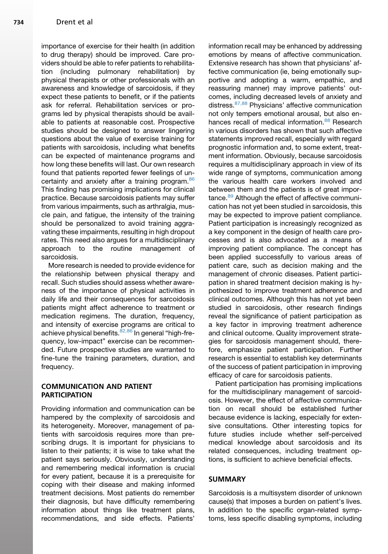importance of exercise for their health (in addition to drug therapy) should be improved. Care providers should be able to refer patients to rehabilitation (including pulmonary rehabilitation) by physical therapists or other professionals with an awareness and knowledge of sarcoidosis, if they expect these patients to benefit, or if the patients ask for referral. Rehabilitation services or programs led by physical therapists should be available to patients at reasonable cost. Prospective studies should be designed to answer lingering questions about the value of exercise training for patients with sarcoidosis, including what benefits can be expected of maintenance programs and how long these benefits will last. Our own research found that patients reported fewer feelings of uncertainty and anxiety after a training program.<sup>86</sup> This finding has promising implications for clinical practice. Because sarcoidosis patients may suffer from various impairments, such as arthralgia, muscle pain, and fatigue, the intensity of the training should be personalized to avoid training aggravating these impairments, resulting in high dropout rates. This need also argues for a multidisciplinary approach to the routine management of sarcoidosis.

More research is needed to provide evidence for the relationship between physical therapy and recall. Such studies should assess whether awareness of the importance of physical activities in daily life and their consequences for sarcoidosis patients might affect adherence to treatment or medication regimens. The duration, frequency, and intensity of exercise programs are critical to achieve physical benefits.<sup>[82,86](#page-10-0)</sup> In general "high-frequency, low-impact" exercise can be recommended. Future prospective studies are warranted to fine-tune the training parameters, duration, and frequency.

## COMMUNICATION AND PATIENT PARTICIPATION

Providing information and communication can be hampered by the complexity of sarcoidosis and its heterogeneity. Moreover, management of patients with sarcoidosis requires more than prescribing drugs. It is important for physicians to listen to their patients; it is wise to take what the patient says seriously. Obviously, understanding and remembering medical information is crucial for every patient, because it is a prerequisite for coping with their disease and making informed treatment decisions. Most patients do remember their diagnosis, but have difficulty remembering information about things like treatment plans, recommendations, and side effects. Patients'

information recall may be enhanced by addressing emotions by means of affective communication. Extensive research has shown that physicians' affective communication (ie, being emotionally supportive and adopting a warm, empathic, and reassuring manner) may improve patients' outcomes, including decreased levels of anxiety and distress. [87,88](#page-10-0) Physicians' affective communication not only tempers emotional arousal, but also en-hances recall of medical information.<sup>[88](#page-10-0)</sup> Research in various disorders has shown that such affective statements improved recall, especially with regard prognostic information and, to some extent, treatment information. Obviously, because sarcoidosis requires a multidisciplinary approach in view of its wide range of symptoms, communication among the various health care workers involved and between them and the patients is of great impor-tance.<sup>[89](#page-10-0)</sup> Although the effect of affective communication has not yet been studied in sarcoidosis, this may be expected to improve patient compliance. Patient participation is increasingly recognized as a key component in the design of health care processes and is also advocated as a means of improving patient compliance. The concept has been applied successfully to various areas of patient care, such as decision making and the management of chronic diseases. Patient participation in shared treatment decision making is hypothesized to improve treatment adherence and clinical outcomes. Although this has not yet been studied in sarcoidosis, other research findings reveal the significance of patient participation as a key factor in improving treatment adherence and clinical outcome. Quality improvement strategies for sarcoidosis management should, therefore, emphasize patient participation. Further research is essential to establish key determinants of the success of patient participation in improving efficacy of care for sarcoidosis patients.

Patient participation has promising implications for the multidisciplinary management of sarcoidosis. However, the effect of affective communication on recall should be established further because evidence is lacking, especially for extensive consultations. Other interesting topics for future studies include whether self-perceived medical knowledge about sarcoidosis and its related consequences, including treatment options, is sufficient to achieve beneficial effects.

## **SUMMARY**

Sarcoidosis is a multisystem disorder of unknown cause(s) that imposes a burden on patient's lives. In addition to the specific organ-related symptoms, less specific disabling symptoms, including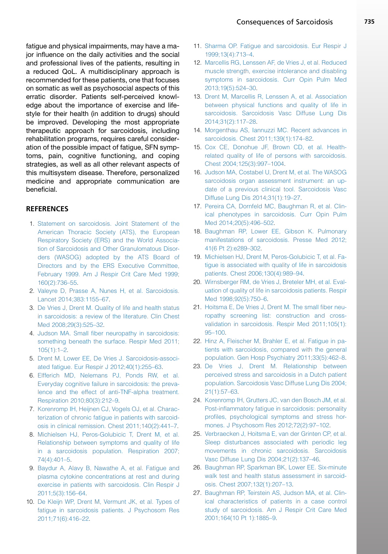<span id="page-8-0"></span>fatigue and physical impairments, may have a major influence on the daily activities and the social and professional lives of the patients, resulting in a reduced QoL. A multidisciplinary approach is recommended for these patients, one that focuses on somatic as well as psychosocial aspects of this erratic disorder. Patients self-perceived knowledge about the importance of exercise and lifestyle for their health (in addition to drugs) should be improved. Developing the most appropriate therapeutic approach for sarcoidosis, including rehabilitation programs, requires careful consideration of the possible impact of fatigue, SFN symptoms, pain, cognitive functioning, and coping strategies, as well as all other relevant aspects of this multisystem disease. Therefore, personalized medicine and appropriate communication are beneficial.

## **REFERENCES**

- 1. [Statement on sarcoidosis. Joint Statement of the](http://refhub.elsevier.com/S0272-5231(15)00113-6/sref1) [American Thoracic Society \(ATS\), the European](http://refhub.elsevier.com/S0272-5231(15)00113-6/sref1) [Respiratory Society \(ERS\) and the World Associa](http://refhub.elsevier.com/S0272-5231(15)00113-6/sref1)[tion of Sarcoidosis and Other Granulomatous Disor](http://refhub.elsevier.com/S0272-5231(15)00113-6/sref1)[ders \(WASOG\) adopted by the ATS Board of](http://refhub.elsevier.com/S0272-5231(15)00113-6/sref1) [Directors and by the ERS Executive Committee,](http://refhub.elsevier.com/S0272-5231(15)00113-6/sref1) [February 1999. Am J Respir Crit Care Med 1999;](http://refhub.elsevier.com/S0272-5231(15)00113-6/sref1) [160\(2\):736–55.](http://refhub.elsevier.com/S0272-5231(15)00113-6/sref1)
- 2. [Valeyre D, Prasse A, Nunes H, et al. Sarcoidosis.](http://refhub.elsevier.com/S0272-5231(15)00113-6/sref2) [Lancet 2014;383:1155–67](http://refhub.elsevier.com/S0272-5231(15)00113-6/sref2).
- 3. [De Vries J, Drent M. Quality of life and health status](http://refhub.elsevier.com/S0272-5231(15)00113-6/sref3) [in sarcoidosis: a review of the literature. Clin Chest](http://refhub.elsevier.com/S0272-5231(15)00113-6/sref3) [Med 2008;29\(3\):525–32.](http://refhub.elsevier.com/S0272-5231(15)00113-6/sref3)
- 4. [Judson MA. Small fiber neuropathy in sarcoidosis:](http://refhub.elsevier.com/S0272-5231(15)00113-6/sref4) [something beneath the surface. Respir Med 2011;](http://refhub.elsevier.com/S0272-5231(15)00113-6/sref4) [105\(1\):1–2.](http://refhub.elsevier.com/S0272-5231(15)00113-6/sref4)
- 5. [Drent M, Lower EE, De Vries J. Sarcoidosis-associ](http://refhub.elsevier.com/S0272-5231(15)00113-6/sref5)[ated fatigue. Eur Respir J 2012;40\(1\):255–63.](http://refhub.elsevier.com/S0272-5231(15)00113-6/sref5)
- 6. [Elfferich MD, Nelemans PJ, Ponds RW, et al.](http://refhub.elsevier.com/S0272-5231(15)00113-6/sref6) [Everyday cognitive failure in sarcoidosis: the preva](http://refhub.elsevier.com/S0272-5231(15)00113-6/sref6)[lence and the effect of anti-TNF-alpha treatment.](http://refhub.elsevier.com/S0272-5231(15)00113-6/sref6) [Respiration 2010;80\(3\):212–9.](http://refhub.elsevier.com/S0272-5231(15)00113-6/sref6)
- 7. [Korenromp IH, Heijnen CJ, Vogels OJ, et al. Charac](http://refhub.elsevier.com/S0272-5231(15)00113-6/sref7)[terization of chronic fatigue in patients with sarcoid](http://refhub.elsevier.com/S0272-5231(15)00113-6/sref7)[osis in clinical remission. Chest 2011;140\(2\):441–7.](http://refhub.elsevier.com/S0272-5231(15)00113-6/sref7)
- 8. [Michielsen HJ, Peros-Golubicic T, Drent M, et al.](http://refhub.elsevier.com/S0272-5231(15)00113-6/sref8) [Relationship between symptoms and quality of life](http://refhub.elsevier.com/S0272-5231(15)00113-6/sref8) [in a sarcoidosis population. Respiration 2007;](http://refhub.elsevier.com/S0272-5231(15)00113-6/sref8) [74\(4\):401–5](http://refhub.elsevier.com/S0272-5231(15)00113-6/sref8).
- 9. [Baydur A, Alavy B, Nawathe A, et al. Fatigue and](http://refhub.elsevier.com/S0272-5231(15)00113-6/sref9) [plasma cytokine concentrations at rest and during](http://refhub.elsevier.com/S0272-5231(15)00113-6/sref9) [exercise in patients with sarcoidosis. Clin Respir J](http://refhub.elsevier.com/S0272-5231(15)00113-6/sref9) [2011;5\(3\):156–64.](http://refhub.elsevier.com/S0272-5231(15)00113-6/sref9)
- 10. [De Kleijn WP, Drent M, Vermunt JK, et al. Types of](http://refhub.elsevier.com/S0272-5231(15)00113-6/sref10) [fatigue in sarcoidosis patients. J Psychosom Res](http://refhub.elsevier.com/S0272-5231(15)00113-6/sref10) [2011;71\(6\):416–22](http://refhub.elsevier.com/S0272-5231(15)00113-6/sref10).
- 11. [Sharma OP. Fatigue and sarcoidosis. Eur Respir J](http://refhub.elsevier.com/S0272-5231(15)00113-6/sref11) [1999;13\(4\):713–4](http://refhub.elsevier.com/S0272-5231(15)00113-6/sref11).
- 12. [Marcellis RG, Lenssen AF, de Vries J, et al. Reduced](http://refhub.elsevier.com/S0272-5231(15)00113-6/sref12) [muscle strength, exercise intolerance and disabling](http://refhub.elsevier.com/S0272-5231(15)00113-6/sref12) [symptoms in sarcoidosis. Curr Opin Pulm Med](http://refhub.elsevier.com/S0272-5231(15)00113-6/sref12) [2013;19\(5\):524–30](http://refhub.elsevier.com/S0272-5231(15)00113-6/sref12).
- 13. [Drent M, Marcellis R, Lenssen A, et al. Association](http://refhub.elsevier.com/S0272-5231(15)00113-6/sref13) [between physical functions and quality of life in](http://refhub.elsevier.com/S0272-5231(15)00113-6/sref13) [sarcoidosis. Sarcoidosis Vasc Diffuse Lung Dis](http://refhub.elsevier.com/S0272-5231(15)00113-6/sref13) [2014;31\(2\):117–28](http://refhub.elsevier.com/S0272-5231(15)00113-6/sref13).
- 14. [Morgenthau AS, Iannuzzi MC. Recent advances in](http://refhub.elsevier.com/S0272-5231(15)00113-6/sref14) [sarcoidosis. Chest 2011;139\(1\):174–82](http://refhub.elsevier.com/S0272-5231(15)00113-6/sref14).
- 15. [Cox CE, Donohue JF, Brown CD, et al. Health](http://refhub.elsevier.com/S0272-5231(15)00113-6/sref15)[related quality of life of persons with sarcoidosis.](http://refhub.elsevier.com/S0272-5231(15)00113-6/sref15) [Chest 2004;125\(3\):997–1004.](http://refhub.elsevier.com/S0272-5231(15)00113-6/sref15)
- 16. [Judson MA, Costabel U, Drent M, et al. The WASOG](http://refhub.elsevier.com/S0272-5231(15)00113-6/sref16) [sarcoidosis organ assessment instrument: an up](http://refhub.elsevier.com/S0272-5231(15)00113-6/sref16)[date of a previous clinical tool. Sarcoidosis Vasc](http://refhub.elsevier.com/S0272-5231(15)00113-6/sref16) [Diffuse Lung Dis 2014;31\(1\):19–27](http://refhub.elsevier.com/S0272-5231(15)00113-6/sref16).
- 17. [Pereira CA, Dornfeld MC, Baughman R, et al. Clin](http://refhub.elsevier.com/S0272-5231(15)00113-6/sref17)[ical phenotypes in sarcoidosis. Curr Opin Pulm](http://refhub.elsevier.com/S0272-5231(15)00113-6/sref17) [Med 2014;20\(5\):496–502](http://refhub.elsevier.com/S0272-5231(15)00113-6/sref17).
- 18. [Baughman RP, Lower EE, Gibson K. Pulmonary](http://refhub.elsevier.com/S0272-5231(15)00113-6/sref18) [manifestations of sarcoidosis. Presse Med 2012;](http://refhub.elsevier.com/S0272-5231(15)00113-6/sref18) [41\(6 Pt 2\):e289–302](http://refhub.elsevier.com/S0272-5231(15)00113-6/sref18).
- 19. [Michielsen HJ, Drent M, Peros-Golubicic T, et al. Fa](http://refhub.elsevier.com/S0272-5231(15)00113-6/sref19)[tigue is associated with quality of life in sarcoidosis](http://refhub.elsevier.com/S0272-5231(15)00113-6/sref19) [patients. Chest 2006;130\(4\):989–94](http://refhub.elsevier.com/S0272-5231(15)00113-6/sref19).
- 20. [Wirnsberger RM, de Vries J, Breteler MH, et al. Eval](http://refhub.elsevier.com/S0272-5231(15)00113-6/sref20)[uation of quality of life in sarcoidosis patients. Respir](http://refhub.elsevier.com/S0272-5231(15)00113-6/sref20) [Med 1998;92\(5\):750–6.](http://refhub.elsevier.com/S0272-5231(15)00113-6/sref20)
- 21. [Hoitsma E, De Vries J, Drent M. The small fiber neu](http://refhub.elsevier.com/S0272-5231(15)00113-6/sref21)[ropathy screening list: construction and cross](http://refhub.elsevier.com/S0272-5231(15)00113-6/sref21)[validation in sarcoidosis. Respir Med 2011;105\(1\):](http://refhub.elsevier.com/S0272-5231(15)00113-6/sref21) [95–100.](http://refhub.elsevier.com/S0272-5231(15)00113-6/sref21)
- 22. [Hinz A, Fleischer M, Brahler E, et al. Fatigue in pa](http://refhub.elsevier.com/S0272-5231(15)00113-6/sref22)[tients with sarcoidosis, compared with the general](http://refhub.elsevier.com/S0272-5231(15)00113-6/sref22) [population. Gen Hosp Psychiatry 2011;33\(5\):462–8](http://refhub.elsevier.com/S0272-5231(15)00113-6/sref22).
- 23. [De Vries J, Drent M. Relationship between](http://refhub.elsevier.com/S0272-5231(15)00113-6/sref23) [perceived stress and sarcoidosis in a Dutch patient](http://refhub.elsevier.com/S0272-5231(15)00113-6/sref23) [population. Sarcoidosis Vasc Diffuse Lung Dis 2004;](http://refhub.elsevier.com/S0272-5231(15)00113-6/sref23) [21\(1\):57–63](http://refhub.elsevier.com/S0272-5231(15)00113-6/sref23).
- 24. [Korenromp IH, Grutters JC, van den Bosch JM, et al.](http://refhub.elsevier.com/S0272-5231(15)00113-6/sref24) [Post-inflammatory fatigue in sarcoidosis: personality](http://refhub.elsevier.com/S0272-5231(15)00113-6/sref24) [profiles, psychological symptoms and stress hor](http://refhub.elsevier.com/S0272-5231(15)00113-6/sref24)[mones. J Psychosom Res 2012;72\(2\):97–102.](http://refhub.elsevier.com/S0272-5231(15)00113-6/sref24)
- 25. [Verbraecken J, Hoitsma E, van der Grinten CP, et al.](http://refhub.elsevier.com/S0272-5231(15)00113-6/sref25) [Sleep disturbances associated with periodic leg](http://refhub.elsevier.com/S0272-5231(15)00113-6/sref25) [movements in chronic sarcoidosis. Sarcoidosis](http://refhub.elsevier.com/S0272-5231(15)00113-6/sref25) [Vasc Diffuse Lung Dis 2004;21\(2\):137–46](http://refhub.elsevier.com/S0272-5231(15)00113-6/sref25).
- 26. [Baughman RP, Sparkman BK, Lower EE. Six-minute](http://refhub.elsevier.com/S0272-5231(15)00113-6/sref26) [walk test and health status assessment in sarcoid](http://refhub.elsevier.com/S0272-5231(15)00113-6/sref26)[osis. Chest 2007;132\(1\):207–13](http://refhub.elsevier.com/S0272-5231(15)00113-6/sref26).
- 27. [Baughman RP, Teirstein AS, Judson MA, et al. Clin](http://refhub.elsevier.com/S0272-5231(15)00113-6/sref27)[ical characteristics of patients in a case control](http://refhub.elsevier.com/S0272-5231(15)00113-6/sref27) [study of sarcoidosis. Am J Respir Crit Care Med](http://refhub.elsevier.com/S0272-5231(15)00113-6/sref27) [2001;164\(10 Pt 1\):1885–9](http://refhub.elsevier.com/S0272-5231(15)00113-6/sref27).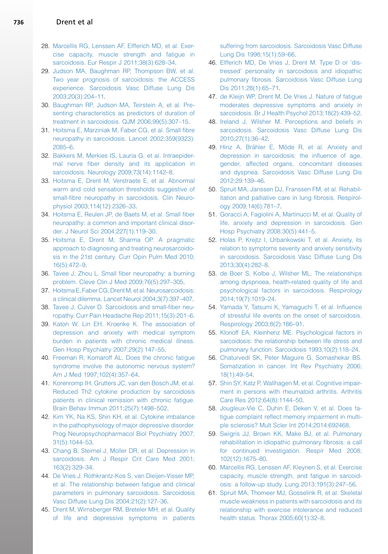## <span id="page-9-0"></span>736 Drent et al

- 28. [Marcellis RG, Lenssen AF, Elfferich MD, et al. Exer](http://refhub.elsevier.com/S0272-5231(15)00113-6/sref28)[cise capacity, muscle strength and fatigue in](http://refhub.elsevier.com/S0272-5231(15)00113-6/sref28) [sarcoidosis. Eur Respir J 2011;38\(3\):628–34](http://refhub.elsevier.com/S0272-5231(15)00113-6/sref28).
- 29. [Judson MA, Baughman RP, Thompson BW, et al.](http://refhub.elsevier.com/S0272-5231(15)00113-6/sref29) [Two year prognosis of sarcoidosis: the ACCESS](http://refhub.elsevier.com/S0272-5231(15)00113-6/sref29) [experience. Sarcoidosis Vasc Diffuse Lung Dis](http://refhub.elsevier.com/S0272-5231(15)00113-6/sref29) [2003;20\(3\):204–11](http://refhub.elsevier.com/S0272-5231(15)00113-6/sref29).
- 30. [Baughman RP, Judson MA, Teirstein A, et al. Pre](http://refhub.elsevier.com/S0272-5231(15)00113-6/sref30)[senting characteristics as predictors of duration of](http://refhub.elsevier.com/S0272-5231(15)00113-6/sref30) [treatment in sarcoidosis. QJM 2006;99\(5\):307–15.](http://refhub.elsevier.com/S0272-5231(15)00113-6/sref30)
- 31. [Hoitsma E, Marziniak M, Faber CG, et al. Small fibre](http://refhub.elsevier.com/S0272-5231(15)00113-6/sref31) [neuropathy in sarcoidosis. Lancet 2002;359\(9323\):](http://refhub.elsevier.com/S0272-5231(15)00113-6/sref31) [2085–6.](http://refhub.elsevier.com/S0272-5231(15)00113-6/sref31)
- 32. [Bakkers M, Merkies IS, Lauria G, et al. Intraepider](http://refhub.elsevier.com/S0272-5231(15)00113-6/sref32)[mal nerve fiber density and its application in](http://refhub.elsevier.com/S0272-5231(15)00113-6/sref32) [sarcoidosis. Neurology 2009;73\(14\):1142–8.](http://refhub.elsevier.com/S0272-5231(15)00113-6/sref32)
- 33. [Hoitsma E, Drent M, Verstraete E, et al. Abnormal](http://refhub.elsevier.com/S0272-5231(15)00113-6/sref33) [warm and cold sensation thresholds suggestive of](http://refhub.elsevier.com/S0272-5231(15)00113-6/sref33) [small-fibre neuropathy in sarcoidosis. Clin Neuro](http://refhub.elsevier.com/S0272-5231(15)00113-6/sref33)[physiol 2003;114\(12\):2326–33.](http://refhub.elsevier.com/S0272-5231(15)00113-6/sref33)
- 34. [Hoitsma E, Reulen JP, de Baets M, et al. Small fiber](http://refhub.elsevier.com/S0272-5231(15)00113-6/sref34) [neuropathy: a common and important clinical disor](http://refhub.elsevier.com/S0272-5231(15)00113-6/sref34)[der. J Neurol Sci 2004;227\(1\):119–30.](http://refhub.elsevier.com/S0272-5231(15)00113-6/sref34)
- 35. [Hoitsma E, Drent M, Sharma OP. A pragmatic](http://refhub.elsevier.com/S0272-5231(15)00113-6/sref35) [approach to diagnosing and treating neurosarcoido](http://refhub.elsevier.com/S0272-5231(15)00113-6/sref35)[sis in the 21st century. Curr Opin Pulm Med 2010;](http://refhub.elsevier.com/S0272-5231(15)00113-6/sref35) [16\(5\):472–9.](http://refhub.elsevier.com/S0272-5231(15)00113-6/sref35)
- 36. [Tavee J, Zhou L. Small fiber neuropathy: a burning](http://refhub.elsevier.com/S0272-5231(15)00113-6/sref36) [problem. Cleve Clin J Med 2009;76\(5\):297–305](http://refhub.elsevier.com/S0272-5231(15)00113-6/sref36).
- 37. [Hoitsma E, Faber CG, Drent M, et al. Neurosarcoidosis:](http://refhub.elsevier.com/S0272-5231(15)00113-6/sref37) [a clinical dilemma. Lancet Neurol 2004;3\(7\):397–407.](http://refhub.elsevier.com/S0272-5231(15)00113-6/sref37)
- 38. [Tavee J, Culver D. Sarcoidosis and small-fiber neu](http://refhub.elsevier.com/S0272-5231(15)00113-6/sref38)[ropathy. Curr Pain Headache Rep 2011;15\(3\):201–6.](http://refhub.elsevier.com/S0272-5231(15)00113-6/sref38)
- 39. [Katon W, Lin EH, Kroenke K. The association of](http://refhub.elsevier.com/S0272-5231(15)00113-6/sref39) [depression and anxiety with medical symptom](http://refhub.elsevier.com/S0272-5231(15)00113-6/sref39) [burden in patients with chronic medical illness.](http://refhub.elsevier.com/S0272-5231(15)00113-6/sref39) [Gen Hosp Psychiatry 2007;29\(2\):147–55.](http://refhub.elsevier.com/S0272-5231(15)00113-6/sref39)
- 40. [Freeman R, Komaroff AL. Does the chronic fatigue](http://refhub.elsevier.com/S0272-5231(15)00113-6/sref40) [syndrome involve the autonomic nervous system?](http://refhub.elsevier.com/S0272-5231(15)00113-6/sref40) [Am J Med 1997;102\(4\):357–64](http://refhub.elsevier.com/S0272-5231(15)00113-6/sref40).
- 41. [Korenromp IH, Grutters JC, van den Bosch JM, et al.](http://refhub.elsevier.com/S0272-5231(15)00113-6/sref41) [Reduced Th2 cytokine production by sarcoidosis](http://refhub.elsevier.com/S0272-5231(15)00113-6/sref41) [patients in clinical remission with chronic fatigue.](http://refhub.elsevier.com/S0272-5231(15)00113-6/sref41) [Brain Behav Immun 2011;25\(7\):1498–502.](http://refhub.elsevier.com/S0272-5231(15)00113-6/sref41)
- 42. [Kim YK, Na KS, Shin KH, et al. Cytokine imbalance](http://refhub.elsevier.com/S0272-5231(15)00113-6/sref42) [in the pathophysiology of major depressive disorder.](http://refhub.elsevier.com/S0272-5231(15)00113-6/sref42) [Prog Neuropsychopharmacol Biol Psychiatry 2007;](http://refhub.elsevier.com/S0272-5231(15)00113-6/sref42) [31\(5\):1044–53.](http://refhub.elsevier.com/S0272-5231(15)00113-6/sref42)
- 43. [Chang B, Steimel J, Moller DR, et al. Depression in](http://refhub.elsevier.com/S0272-5231(15)00113-6/sref43) [sarcoidosis. Am J Respir Crit Care Med 2001;](http://refhub.elsevier.com/S0272-5231(15)00113-6/sref43) [163\(2\):329–34.](http://refhub.elsevier.com/S0272-5231(15)00113-6/sref43)
- 44. [De Vries J, Rothkrantz-Kos S, van Dieijen-Visser MP,](http://refhub.elsevier.com/S0272-5231(15)00113-6/sref44) [et al. The relationship between fatigue and clinical](http://refhub.elsevier.com/S0272-5231(15)00113-6/sref44) [parameters in pulmonary sarcoidosis. Sarcoidosis](http://refhub.elsevier.com/S0272-5231(15)00113-6/sref44) [Vasc Diffuse Lung Dis 2004;21\(2\):127–36.](http://refhub.elsevier.com/S0272-5231(15)00113-6/sref44)
- 45. [Drent M, Wirnsberger RM, Breteler MH, et al. Quality](http://refhub.elsevier.com/S0272-5231(15)00113-6/sref45) [of life and depressive symptoms in patients](http://refhub.elsevier.com/S0272-5231(15)00113-6/sref45)

[suffering from sarcoidosis. Sarcoidosis Vasc Diffuse](http://refhub.elsevier.com/S0272-5231(15)00113-6/sref45) [Lung Dis 1998;15\(1\):59–66.](http://refhub.elsevier.com/S0272-5231(15)00113-6/sref45)

- 46. [Elfferich MD, De Vries J, Drent M. Type D or 'dis](http://refhub.elsevier.com/S0272-5231(15)00113-6/sref46)[tressed' personality in sarcoidosis and idiopathic](http://refhub.elsevier.com/S0272-5231(15)00113-6/sref46) [pulmonary fibrosis. Sarcoidosis Vasc Diffuse Lung](http://refhub.elsevier.com/S0272-5231(15)00113-6/sref46) [Dis 2011;28\(1\):65–71.](http://refhub.elsevier.com/S0272-5231(15)00113-6/sref46)
- 47. [de Kleijn WP, Drent M, De Vries J. Nature of fatigue](http://refhub.elsevier.com/S0272-5231(15)00113-6/sref47) [moderates depressive symptoms and anxiety in](http://refhub.elsevier.com/S0272-5231(15)00113-6/sref47) [sarcoidosis. Br J Health Psychol 2013;18\(2\):439–52.](http://refhub.elsevier.com/S0272-5231(15)00113-6/sref47)
- 48. [Ireland J, Wilsher M. Perceptions and beliefs in](http://refhub.elsevier.com/S0272-5231(15)00113-6/sref48) [sarcoidosis. Sarcoidosis Vasc Diffuse Lung Dis](http://refhub.elsevier.com/S0272-5231(15)00113-6/sref48) [2010;27\(1\):36–42.](http://refhub.elsevier.com/S0272-5231(15)00113-6/sref48)
- 49. Hinz A, Brähler E, Möde R, et al. Anxiety and [depression in sarcoidosis: the influence of age,](http://refhub.elsevier.com/S0272-5231(15)00113-6/sref49) [gender, affected organs, concomitant diseases](http://refhub.elsevier.com/S0272-5231(15)00113-6/sref49) [and dyspnea. Sarcoidosis Vasc Diffuse Lung Dis](http://refhub.elsevier.com/S0272-5231(15)00113-6/sref49) [2012;29:139–46.](http://refhub.elsevier.com/S0272-5231(15)00113-6/sref49)
- 50. [Spruit MA, Janssen DJ, Franssen FM, et al. Rehabil](http://refhub.elsevier.com/S0272-5231(15)00113-6/sref50)[itation and palliative care in lung fibrosis. Respirol](http://refhub.elsevier.com/S0272-5231(15)00113-6/sref50)[ogy 2009;14\(6\):781–7.](http://refhub.elsevier.com/S0272-5231(15)00113-6/sref50)
- 51. [Goracci A, Fagiolini A, Martinucci M, et al. Quality of](http://refhub.elsevier.com/S0272-5231(15)00113-6/sref51) [life, anxiety and depression in sarcoidosis. Gen](http://refhub.elsevier.com/S0272-5231(15)00113-6/sref51) [Hosp Psychiatry 2008;30\(5\):441–5.](http://refhub.elsevier.com/S0272-5231(15)00113-6/sref51)
- 52. [Holas P, Krejtz I, Urbankowski T, et al. Anxiety, its](http://refhub.elsevier.com/S0272-5231(15)00113-6/sref52) [relation to symptoms severity and anxiety sensitivity](http://refhub.elsevier.com/S0272-5231(15)00113-6/sref52) [in sarcoidosis. Sarcoidosis Vasc Diffuse Lung Dis](http://refhub.elsevier.com/S0272-5231(15)00113-6/sref52) [2013;30\(4\):282–8.](http://refhub.elsevier.com/S0272-5231(15)00113-6/sref52)
- 53. [de Boer S, Kolbe J, Wilsher ML. The relationships](http://refhub.elsevier.com/S0272-5231(15)00113-6/sref53) [among dyspnoea, health-related quality of life and](http://refhub.elsevier.com/S0272-5231(15)00113-6/sref53) [psychological factors in sarcoidosis. Respirology](http://refhub.elsevier.com/S0272-5231(15)00113-6/sref53) [2014;19\(7\):1019–24.](http://refhub.elsevier.com/S0272-5231(15)00113-6/sref53)
- 54. [Yamada Y, Tatsumi K, Yamaguchi T, et al. Influence](http://refhub.elsevier.com/S0272-5231(15)00113-6/sref54) [of stressful life events on the onset of sarcoidosis.](http://refhub.elsevier.com/S0272-5231(15)00113-6/sref54) [Respirology 2003;8\(2\):186–91.](http://refhub.elsevier.com/S0272-5231(15)00113-6/sref54)
- 55. [Klonoff EA, Kleinhenz ME. Psychological factors in](http://refhub.elsevier.com/S0272-5231(15)00113-6/sref55) [sarcoidosis: the relationship between life stress and](http://refhub.elsevier.com/S0272-5231(15)00113-6/sref55) [pulmonary function. Sarcoidosis 1993;10\(2\):118–24](http://refhub.elsevier.com/S0272-5231(15)00113-6/sref55).
- 56. [Chaturvedi SK, Peter Maguire G, Somashekar BS.](http://refhub.elsevier.com/S0272-5231(15)00113-6/sref56) [Somatization in cancer. Int Rev Psychiatry 2006;](http://refhub.elsevier.com/S0272-5231(15)00113-6/sref56) [18\(1\):49–54](http://refhub.elsevier.com/S0272-5231(15)00113-6/sref56).
- 57. [Shin SY, Katz P, Wallhagen M, et al. Cognitive impair](http://refhub.elsevier.com/S0272-5231(15)00113-6/sref57)[ment in persons with rheumatoid arthritis. Arthritis](http://refhub.elsevier.com/S0272-5231(15)00113-6/sref57) [Care Res 2012;64\(8\):1144–50.](http://refhub.elsevier.com/S0272-5231(15)00113-6/sref57)
- 58. [Jougleux-Vie C, Duhin E, Deken V, et al. Does fa](http://refhub.elsevier.com/S0272-5231(15)00113-6/sref58)[tigue complaint reflect memory impairment in multi](http://refhub.elsevier.com/S0272-5231(15)00113-6/sref58)[ple sclerosis? Mult Scler Int 2014;2014:692468](http://refhub.elsevier.com/S0272-5231(15)00113-6/sref58).
- 59. [Swigris JJ, Brown KK, Make BJ, et al. Pulmonary](http://refhub.elsevier.com/S0272-5231(15)00113-6/sref59) [rehabilitation in idiopathic pulmonary fibrosis: a call](http://refhub.elsevier.com/S0272-5231(15)00113-6/sref59) [for continued investigation. Respir Med 2008;](http://refhub.elsevier.com/S0272-5231(15)00113-6/sref59) [102\(12\):1675–80.](http://refhub.elsevier.com/S0272-5231(15)00113-6/sref59)
- 60. [Marcellis RG, Lenssen AF, Kleynen S, et al. Exercise](http://refhub.elsevier.com/S0272-5231(15)00113-6/sref60) [capacity, muscle strength, and fatigue in sarcoid](http://refhub.elsevier.com/S0272-5231(15)00113-6/sref60)[osis: a follow-up study. Lung 2013;191\(3\):247–56.](http://refhub.elsevier.com/S0272-5231(15)00113-6/sref60)
- 61. [Spruit MA, Thomeer MJ, Gosselink R, et al. Skeletal](http://refhub.elsevier.com/S0272-5231(15)00113-6/sref61) [muscle weakness in patients with sarcoidosis and its](http://refhub.elsevier.com/S0272-5231(15)00113-6/sref61) [relationship with exercise intolerance and reduced](http://refhub.elsevier.com/S0272-5231(15)00113-6/sref61) [health status. Thorax 2005;60\(1\):32–8.](http://refhub.elsevier.com/S0272-5231(15)00113-6/sref61)